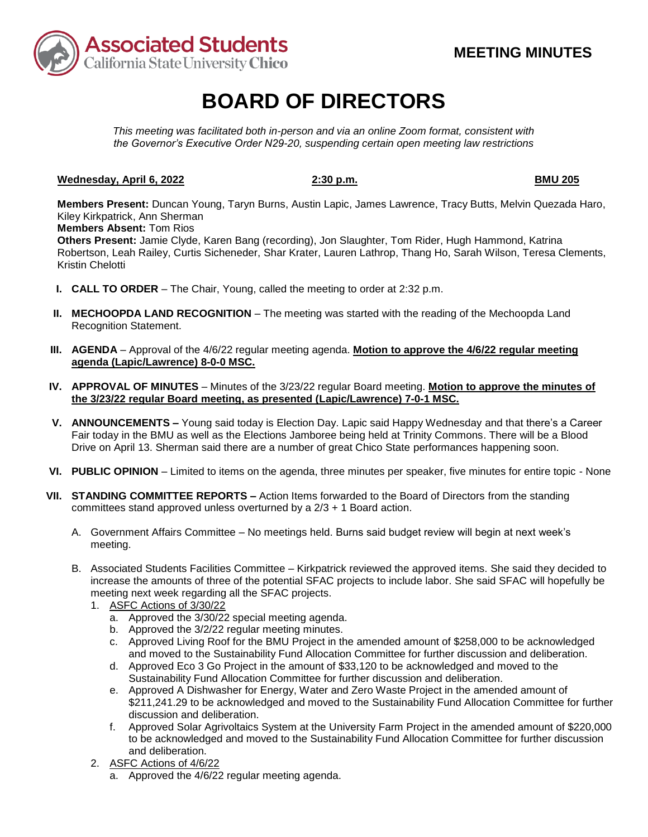

# **BOARD OF DIRECTORS**

*This meeting was facilitated both in-person and via an online Zoom format, consistent with the Governor's Executive Order N29-20, suspending certain open meeting law restrictions* 

## **Wednesday, April 6, 2022** 2:30 p.m. **BMU 205 BMU 205**

**Members Present:** Duncan Young, Taryn Burns, Austin Lapic, James Lawrence, Tracy Butts, Melvin Quezada Haro, Kiley Kirkpatrick, Ann Sherman

**Members Absent:** Tom Rios

**Others Present:** Jamie Clyde, Karen Bang (recording), Jon Slaughter, Tom Rider, Hugh Hammond, Katrina Robertson, Leah Railey, Curtis Sicheneder, Shar Krater, Lauren Lathrop, Thang Ho, Sarah Wilson, Teresa Clements, Kristin Chelotti

- **I. CALL TO ORDER**  The Chair, Young, called the meeting to order at 2:32 p.m.
- **II. MECHOOPDA LAND RECOGNITION** The meeting was started with the reading of the Mechoopda Land Recognition Statement.
- **III. AGENDA**  Approval of the 4/6/22 regular meeting agenda. **Motion to approve the 4/6/22 regular meeting agenda (Lapic/Lawrence) 8-0-0 MSC.**
- **IV. APPROVAL OF MINUTES**  Minutes of the 3/23/22 regular Board meeting. **Motion to approve the minutes of the 3/23/22 regular Board meeting, as presented (Lapic/Lawrence) 7-0-1 MSC.**
- **V. ANNOUNCEMENTS –** Young said today is Election Day. Lapic said Happy Wednesday and that there's a Career Drive on April 13. Sherman said there are a number of great Chico State performances happening soon. Fair today in the BMU as well as the Elections Jamboree being held at Trinity Commons. There will be a Blood
- **VI. PUBLIC OPINION**  Limited to items on the agenda, three minutes per speaker, five minutes for entire topic None
- **VII. STANDING COMMITTEE REPORTS –** Action Items forwarded to the Board of Directors from the standing committees stand approved unless overturned by a 2/3 + 1 Board action.
	- A. Government Affairs Committee No meetings held. Burns said budget review will begin at next week's meeting.
	- B. Associated Students Facilities Committee Kirkpatrick reviewed the approved items. She said they decided to increase the amounts of three of the potential SFAC projects to include labor. She said SFAC will hopefully be meeting next week regarding all the SFAC projects.
		- 1. ASFC Actions of 3/30/22
			- a. Approved the 3/30/22 special meeting agenda.
			- b. Approved the 3/2/22 regular meeting minutes.
			- and moved to the Sustainability Fund Allocation Committee for further discussion and deliberation. c. Approved Living Roof for the BMU Project in the amended amount of \$258,000 to be acknowledged
			- d. Approved Eco 3 Go Project in the amount of \$33,120 to be acknowledged and moved to the Sustainability Fund Allocation Committee for further discussion and deliberation.
			- [\\$211,241.29](https://211,241.29) to be acknowledged and moved to the Sustainability Fund Allocation Committee for further e. Approved A Dishwasher for Energy, Water and Zero Waste Project in the amended amount of discussion and deliberation.
			- f. Approved Solar Agrivoltaics System at the University Farm Project in the amended amount of \$220,000 to be acknowledged and moved to the Sustainability Fund Allocation Committee for further discussion and deliberation.
		-
		- 2. ASFC Actions of 4/6/22<br>a. Approved the 4/6/22 regular meeting agenda.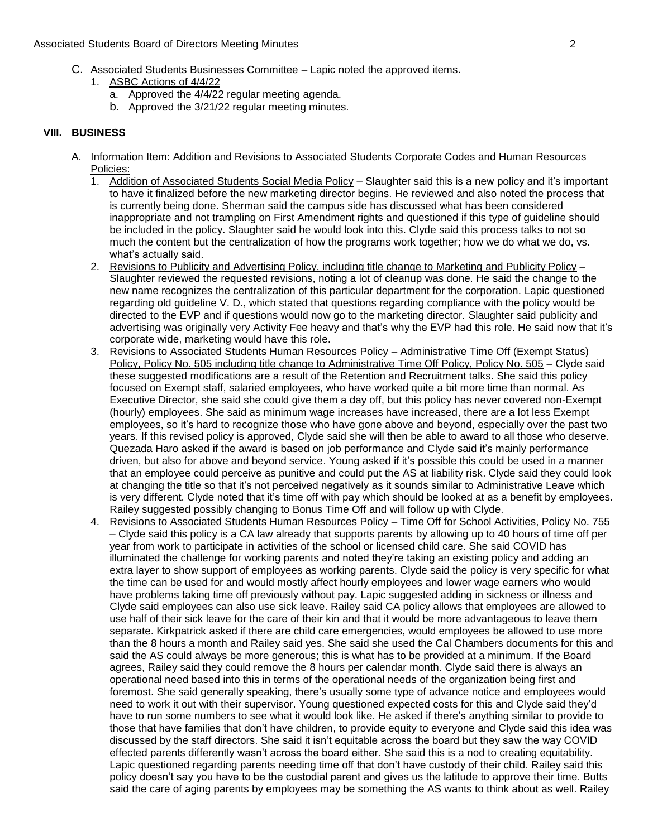- C. Associated Students Businesses Committee Lapic noted the approved items.
	- 1. ASBC Actions of 4/4/22
		- a. Approved the  $4/4/22$  regular meeting agenda.
		- b. Approved the 3/21/22 regular meeting minutes.

### **VIII. BUSINESS**

- A. Information Item: Addition and Revisions to Associated Students Corporate Codes and Human Resources Policies:
	- inappropriate and not trampling on First Amendment rights and questioned if this type of guideline should much the content but the centralization of how the programs work together; how we do what we do, vs. 1. Addition of Associated Students Social Media Policy – Slaughter said this is a new policy and it's important to have it finalized before the new marketing director begins. He reviewed and also noted the process that is currently being done. Sherman said the campus side has discussed what has been considered be included in the policy. Slaughter said he would look into this. Clyde said this process talks to not so what's actually said.
	- 2. Revisions to Publicity and Advertising Policy, including title change to Marketing and Publicity Policy regarding old guideline V. D., which stated that questions regarding compliance with the policy would be directed to the EVP and if questions would now go to the marketing director. Slaughter said publicity and advertising was originally very Activity Fee heavy and that's why the EVP had this role. He said now that it's Slaughter reviewed the requested revisions, noting a lot of cleanup was done. He said the change to the new name recognizes the centralization of this particular department for the corporation. Lapic questioned corporate wide, marketing would have this role.
	- 3. Revisions to Associated Students Human Resources Policy Administrative Time Off (Exempt Status) years. If this revised policy is approved, Clyde said she will then be able to award to all those who deserve. driven, but also for above and beyond service. Young asked if it's possible this could be used in a manner that an employee could perceive as punitive and could put the AS at liability risk. Clyde said they could look Policy, Policy No. 505 including title change to Administrative Time Off Policy, Policy No. 505 - Clyde said these suggested modifications are a result of the Retention and Recruitment talks. She said this policy focused on Exempt staff, salaried employees, who have worked quite a bit more time than normal. As Executive Director, she said she could give them a day off, but this policy has never covered non-Exempt (hourly) employees. She said as minimum wage increases have increased, there are a lot less Exempt employees, so it's hard to recognize those who have gone above and beyond, especially over the past two Quezada Haro asked if the award is based on job performance and Clyde said it's mainly performance at changing the title so that it's not perceived negatively as it sounds similar to Administrative Leave which is very different. Clyde noted that it's time off with pay which should be looked at as a benefit by employees. Railey suggested possibly changing to Bonus Time Off and will follow up with Clyde.
	- 4. Revisions to Associated Students Human Resources Policy Time Off for School Activities, Policy No. 755 – Clyde said this policy is a CA law already that supports parents by allowing up to 40 hours of time off per extra layer to show support of employees as working parents. Clyde said the policy is very specific for what the time can be used for and would mostly affect hourly employees and lower wage earners who would Clyde said employees can also use sick leave. Railey said CA policy allows that employees are allowed to use half of their sick leave for the care of their kin and that it would be more advantageous to leave them than the 8 hours a month and Railey said yes. She said she used the Cal Chambers documents for this and said the AS could always be more generous; this is what has to be provided at a minimum. If the Board agrees, Railey said they could remove the 8 hours per calendar month. Clyde said there is always an have to run some numbers to see what it would look like. He asked if there's anything similar to provide to those that have families that don't have children, to provide equity to everyone and Clyde said this idea was policy doesn't say you have to be the custodial parent and gives us the latitude to approve their time. Butts year from work to participate in activities of the school or licensed child care. She said COVID has illuminated the challenge for working parents and noted they're taking an existing policy and adding an have problems taking time off previously without pay. Lapic suggested adding in sickness or illness and separate. Kirkpatrick asked if there are child care emergencies, would employees be allowed to use more operational need based into this in terms of the operational needs of the organization being first and foremost. She said generally speaking, there's usually some type of advance notice and employees would need to work it out with their supervisor. Young questioned expected costs for this and Clyde said they'd discussed by the staff directors. She said it isn't equitable across the board but they saw the way COVID effected parents differently wasn't across the board either. She said this is a nod to creating equitability. Lapic questioned regarding parents needing time off that don't have custody of their child. Railey said this said the care of aging parents by employees may be something the AS wants to think about as well. Railey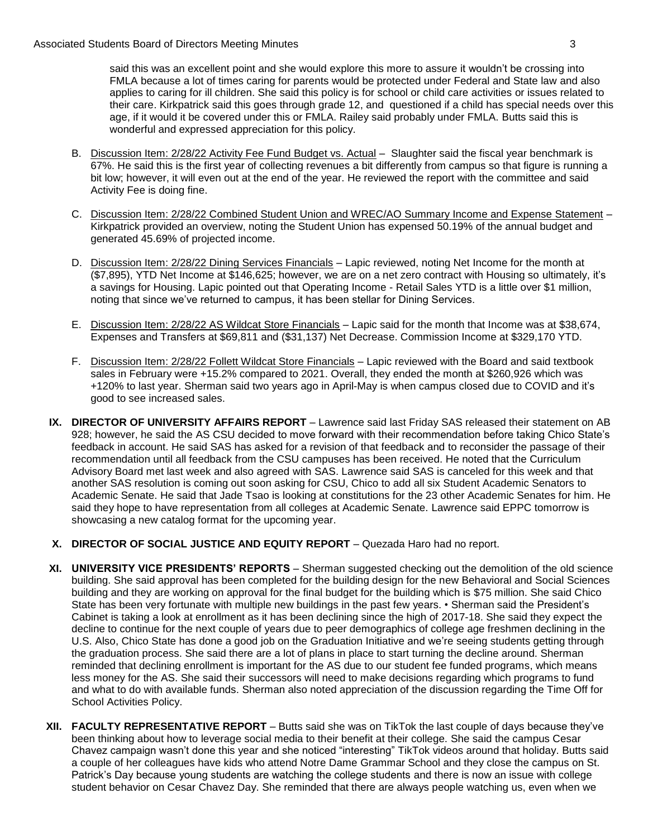said this was an excellent point and she would explore this more to assure it wouldn't be crossing into FMLA because a lot of times caring for parents would be protected under Federal and State law and also applies to caring for ill children. She said this policy is for school or child care activities or issues related to their care. Kirkpatrick said this goes through grade 12, and questioned if a child has special needs over this age, if it would it be covered under this or FMLA. Railey said probably under FMLA. Butts said this is wonderful and expressed appreciation for this policy.

- B. Discussion Item: 2/28/22 Activity Fee Fund Budget vs. Actual Slaughter said the fiscal year benchmark is 67%. He said this is the first year of collecting revenues a bit differently from campus so that figure is running a bit low; however, it will even out at the end of the year. He reviewed the report with the committee and said Activity Fee is doing fine.
- C. Discussion Item: 2/28/22 Combined Student Union and WREC/AO Summary Income and Expense Statement Kirkpatrick provided an overview, noting the Student Union has expensed 50.19% of the annual budget and generated 45.69% of projected income.
- (\$7,895), YTD Net Income at \$146,625; however, we are on a net zero contract with Housing so ultimately, it's a savings for Housing. Lapic pointed out that Operating Income - Retail Sales YTD is a little over \$1 million, D. Discussion Item: 2/28/22 Dining Services Financials - Lapic reviewed, noting Net Income for the month at noting that since we've returned to campus, it has been stellar for Dining Services.
- E. Discussion Item: 2/28/22 AS Wildcat Store Financials Lapic said for the month that Income was at \$38,674, Expenses and Transfers at \$69,811 and (\$31,137) Net Decrease. Commission Income at \$329,170 YTD.
- sales in February were +15.2% compared to 2021. Overall, they ended the month at \$260,926 which was +120% to last year. Sherman said two years ago in April-May is when campus closed due to COVID and it's F. Discussion Item: 2/28/22 Follett Wildcat Store Financials – Lapic reviewed with the Board and said textbook good to see increased sales.
- recommendation until all feedback from the CSU campuses has been received. He noted that the Curriculum **IX. DIRECTOR OF UNIVERSITY AFFAIRS REPORT** – Lawrence said last Friday SAS released their statement on AB 928; however, he said the AS CSU decided to move forward with their recommendation before taking Chico State's feedback in account. He said SAS has asked for a revision of that feedback and to reconsider the passage of their Advisory Board met last week and also agreed with SAS. Lawrence said SAS is canceled for this week and that another SAS resolution is coming out soon asking for CSU, Chico to add all six Student Academic Senators to Academic Senate. He said that Jade Tsao is looking at constitutions for the 23 other Academic Senates for him. He said they hope to have representation from all colleges at Academic Senate. Lawrence said EPPC tomorrow is showcasing a new catalog format for the upcoming year.
- **X. DIRECTOR OF SOCIAL JUSTICE AND EQUITY REPORT**  Quezada Haro had no report.
- Cabinet is taking a look at enrollment as it has been declining since the high of 2017-18. She said they expect the reminded that declining enrollment is important for the AS due to our student fee funded programs, which means School Activities Policy. **XI. UNIVERSITY VICE PRESIDENTS' REPORTS** – Sherman suggested checking out the demolition of the old science building. She said approval has been completed for the building design for the new Behavioral and Social Sciences building and they are working on approval for the final budget for the building which is \$75 million. She said Chico State has been very fortunate with multiple new buildings in the past few years. • Sherman said the President's decline to continue for the next couple of years due to peer demographics of college age freshmen declining in the U.S. Also, Chico State has done a good job on the Graduation Initiative and we're seeing students getting through the graduation process. She said there are a lot of plans in place to start turning the decline around. Sherman less money for the AS. She said their successors will need to make decisions regarding which programs to fund and what to do with available funds. Sherman also noted appreciation of the discussion regarding the Time Off for
- Chavez campaign wasn't done this year and she noticed "interesting" TikTok videos around that holiday. Butts said Patrick's Day because young students are watching the college students and there is now an issue with college **XII. FACULTY REPRESENTATIVE REPORT** – Butts said she was on TikTok the last couple of days because they've been thinking about how to leverage social media to their benefit at their college. She said the campus Cesar a couple of her colleagues have kids who attend Notre Dame Grammar School and they close the campus on St. student behavior on Cesar Chavez Day. She reminded that there are always people watching us, even when we